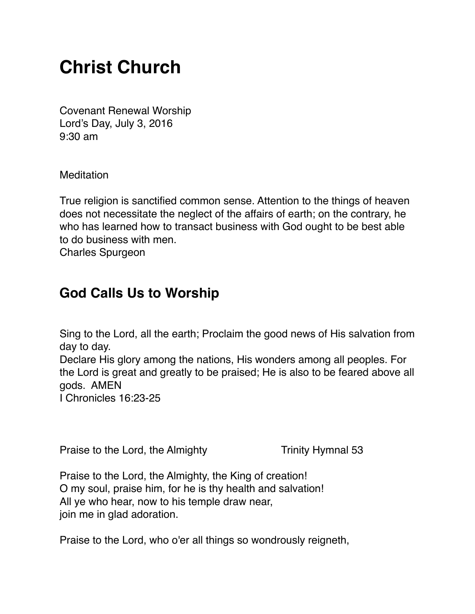# **Christ Church**

Covenant Renewal Worship Lord's Day, July 3, 2016 9:30 am

**Meditation** 

True religion is sanctified common sense. Attention to the things of heaven does not necessitate the neglect of the affairs of earth; on the contrary, he who has learned how to transact business with God ought to be best able to do business with men.

Charles Spurgeon

#### **God Calls Us to Worship**

Sing to the Lord, all the earth; Proclaim the good news of His salvation from day to day.

Declare His glory among the nations, His wonders among all peoples. For the Lord is great and greatly to be praised; He is also to be feared above all gods. AMEN

I Chronicles 16:23-25

Praise to the Lord, the Almighty Trinity Hymnal 53

Praise to the Lord, the Almighty, the King of creation! O my soul, praise him, for he is thy health and salvation! All ye who hear, now to his temple draw near, join me in glad adoration.

Praise to the Lord, who o'er all things so wondrously reigneth,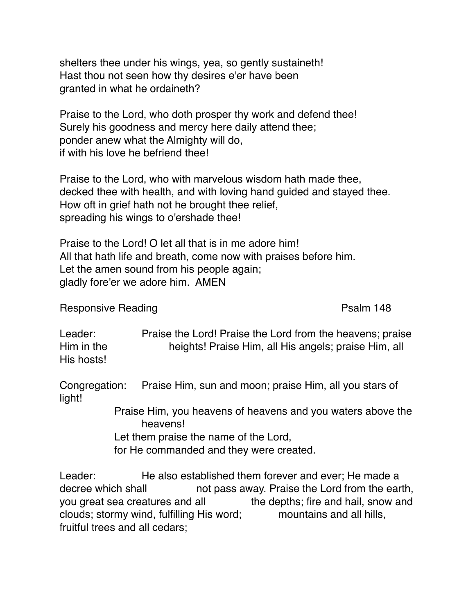shelters thee under his wings, yea, so gently sustaineth! Hast thou not seen how thy desires e'er have been granted in what he ordaineth?

Praise to the Lord, who doth prosper thy work and defend thee! Surely his goodness and mercy here daily attend thee; ponder anew what the Almighty will do, if with his love he befriend thee!

Praise to the Lord, who with marvelous wisdom hath made thee, decked thee with health, and with loving hand guided and stayed thee. How oft in grief hath not he brought thee relief, spreading his wings to o'ershade thee!

Praise to the Lord! O let all that is in me adore him! All that hath life and breath, come now with praises before him. Let the amen sound from his people again; gladly fore'er we adore him. AMEN

Responsive Reading **Participal Control** Psalm 148

Leader: Praise the Lord! Praise the Lord from the heavens; praise Him in the heights! Praise Him, all His angels; praise Him, all His hosts!

Congregation: Praise Him, sun and moon; praise Him, all you stars of light!

> Praise Him, you heavens of heavens and you waters above the heavens!

Let them praise the name of the Lord,

for He commanded and they were created.

Leader: He also established them forever and ever; He made a decree which shall not pass away. Praise the Lord from the earth, you great sea creatures and all the depths; fire and hail, snow and clouds; stormy wind, fulfilling His word; mountains and all hills, fruitful trees and all cedars;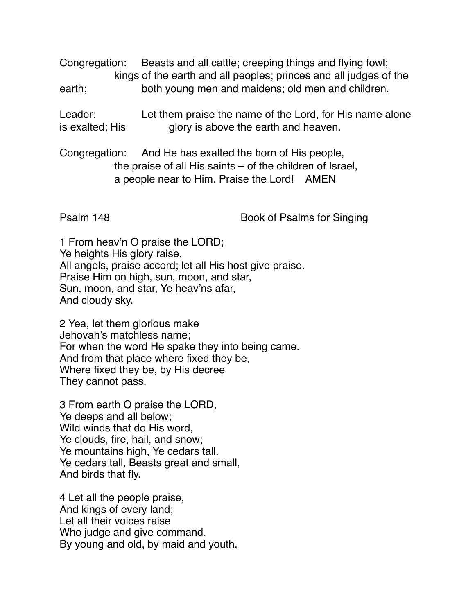Congregation: Beasts and all cattle; creeping things and flying fowl; kings of the earth and all peoples; princes and all judges of the earth; both young men and maidens; old men and children.

Leader: Let them praise the name of the Lord, for His name alone is exalted; His glory is above the earth and heaven.

Congregation: And He has exalted the horn of His people, the praise of all His saints – of the children of Israel, a people near to Him. Praise the Lord! AMEN

Psalm 148 Book of Psalms for Singing

1 From heav'n O praise the LORD; Ye heights His glory raise. All angels, praise accord; let all His host give praise. Praise Him on high, sun, moon, and star, Sun, moon, and star, Ye heav'ns afar, And cloudy sky.

2 Yea, let them glorious make Jehovah's matchless name; For when the word He spake they into being came. And from that place where fixed they be, Where fixed they be, by His decree They cannot pass.

3 From earth O praise the LORD, Ye deeps and all below; Wild winds that do His word, Ye clouds, fire, hail, and snow; Ye mountains high, Ye cedars tall. Ye cedars tall, Beasts great and small, And birds that fly.

4 Let all the people praise, And kings of every land; Let all their voices raise Who judge and give command. By young and old, by maid and youth,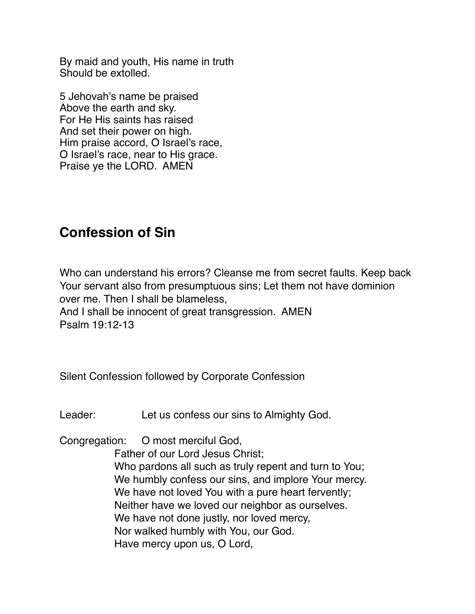$B_{\rm B}$  young and  $B_{\rm B}$  young and  $B_{\rm B}$  and  $B_{\rm B}$  and  $B_{\rm B}$ By maid and youth, His name in truth Should be extolled.

5 Jehovah's name be praised Above the earth and sky. For He His saints has raised And set their power on high. Him praise accord, O Israel's race, O Israel's race, near to His grace. Praise ye the LORD. AMEN

## **Confession of Sin**

Who can understand his errors? Cleanse me from secret faults. Keep back Your servant also from presumptuous sins; Let them not have dominion over me. Then I shall be blameless, And I shall be innocent of great transgression. AMEN Psalm 19:12-13

Silent Confession followed by Corporate Confession

Leader: Let us confess our sins to Almighty God.

Congregation: O most merciful God,

Father of our Lord Jesus Christ; Who pardons all such as truly repent and turn to You; We humbly confess our sins, and implore Your mercy. We have not loved You with a pure heart fervently; Neither have we loved our neighbor as ourselves. We have not done justly, nor loved mercy, Nor walked humbly with You, our God. Have mercy upon us, O Lord,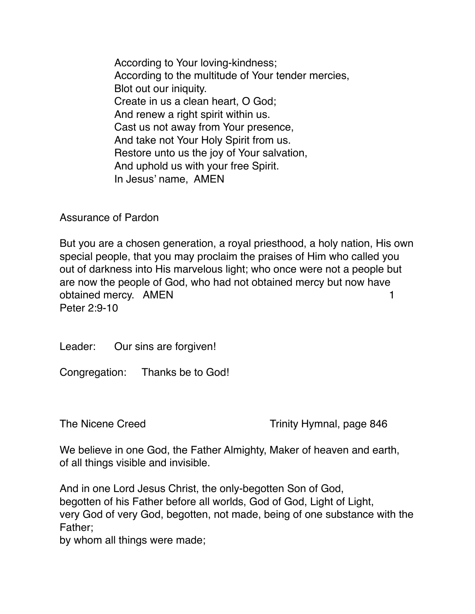According to Your loving-kindness; According to the multitude of Your tender mercies, Blot out our iniquity. Create in us a clean heart, O God; And renew a right spirit within us. Cast us not away from Your presence, And take not Your Holy Spirit from us. Restore unto us the joy of Your salvation, And uphold us with your free Spirit. In Jesus' name, AMEN

Assurance of Pardon

But you are a chosen generation, a royal priesthood, a holy nation, His own special people, that you may proclaim the praises of Him who called you out of darkness into His marvelous light; who once were not a people but are now the people of God, who had not obtained mercy but now have obtained mercy. AMEN 1 Peter 2:9-10

Leader: Our sins are forgiven!

Congregation: Thanks be to God!

The Nicene Creed The Nicene Creed Trinity Hymnal, page 846

We believe in one God, the Father Almighty, Maker of heaven and earth, of all things visible and invisible.

And in one Lord Jesus Christ, the only-begotten Son of God, begotten of his Father before all worlds, God of God, Light of Light, very God of very God, begotten, not made, being of one substance with the Father;

by whom all things were made;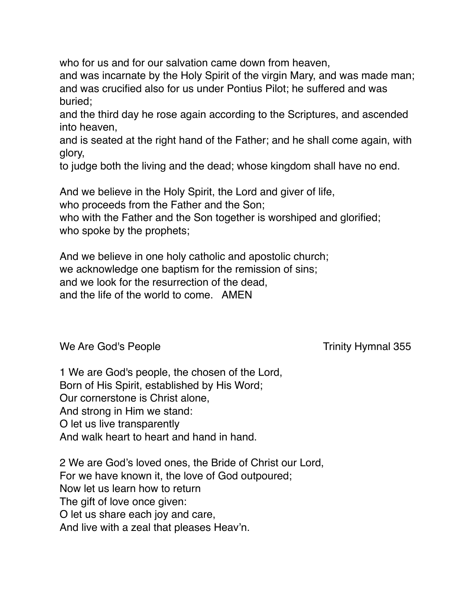who for us and for our salvation came down from heaven,

and was incarnate by the Holy Spirit of the virgin Mary, and was made man; and was crucified also for us under Pontius Pilot; he suffered and was buried;

and the third day he rose again according to the Scriptures, and ascended into heaven,

and is seated at the right hand of the Father; and he shall come again, with glory,

to judge both the living and the dead; whose kingdom shall have no end.

And we believe in the Holy Spirit, the Lord and giver of life,

who proceeds from the Father and the Son;

who with the Father and the Son together is worshiped and glorified; who spoke by the prophets;

And we believe in one holy catholic and apostolic church; we acknowledge one baptism for the remission of sins; and we look for the resurrection of the dead, and the life of the world to come. AMEN

We Are God's People Trinity Hymnal 355

1 We are God's people, the chosen of the Lord, Born of His Spirit, established by His Word; Our cornerstone is Christ alone, And strong in Him we stand: O let us live transparently And walk heart to heart and hand in hand.

2 We are God's loved ones, the Bride of Christ our Lord, For we have known it, the love of God outpoured; Now let us learn how to return The gift of love once given: O let us share each joy and care, And live with a zeal that pleases Heav'n.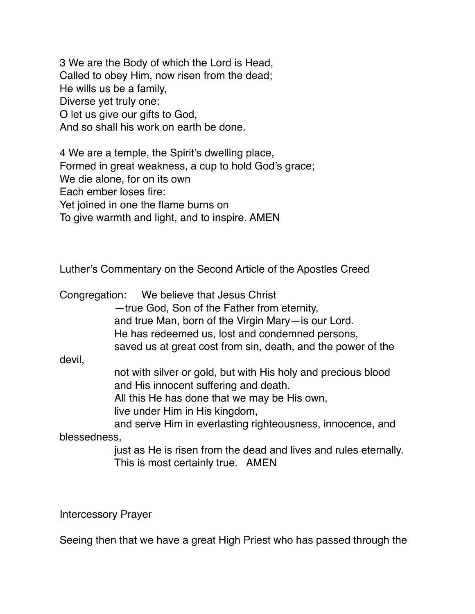3 We are the Body of which the Lord is Head, Called to obey Him, now risen from the dead; He wills us be a family, Diverse yet truly one: O let us give our gifts to God, And so shall his work on earth be done.

4 We are a temple, the Spirit's dwelling place, Formed in great weakness, a cup to hold God's grace; We die alone, for on its own Each ember loses fire: Yet joined in one the flame burns on To give warmth and light, and to inspire. AMEN

Luther's Commentary on the Second Article of the Apostles Creed

|              | Congregation: We believe that Jesus Christ                                                                                                                                               |
|--------------|------------------------------------------------------------------------------------------------------------------------------------------------------------------------------------------|
|              | -true God, Son of the Father from eternity,                                                                                                                                              |
|              | and true Man, born of the Virgin Mary-is our Lord.                                                                                                                                       |
|              | He has redeemed us, lost and condemned persons,                                                                                                                                          |
|              | saved us at great cost from sin, death, and the power of the                                                                                                                             |
| devil,       |                                                                                                                                                                                          |
|              | not with silver or gold, but with His holy and precious blood<br>and His innocent suffering and death.<br>All this He has done that we may be His own,<br>live under Him in His kingdom, |
|              | and serve Him in everlasting righteousness, innocence, and                                                                                                                               |
| blessedness, |                                                                                                                                                                                          |
|              | just as He is risen from the dead and lives and rules eternally.<br>This is most certainly true. AMEN                                                                                    |

Intercessory Prayer

Seeing then that we have a great High Priest who has passed through the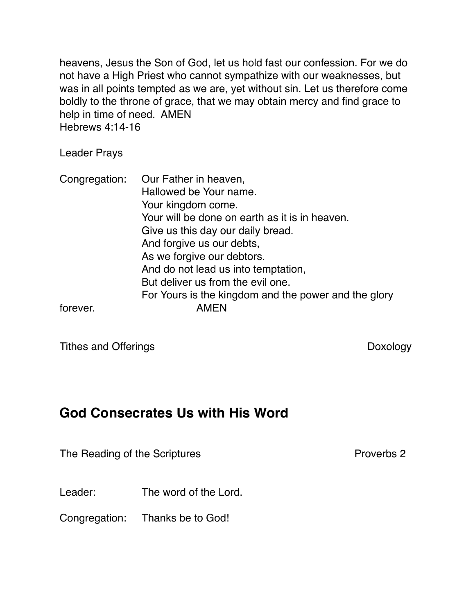heavens, Jesus the Son of God, let us hold fast our confession. For we do not have a High Priest who cannot sympathize with our weaknesses, but was in all points tempted as we are, yet without sin. Let us therefore come boldly to the throne of grace, that we may obtain mercy and find grace to help in time of need. AMEN Hebrews 4:14-16

Leader Prays

Congregation: Our Father in heaven, Hallowed be Your name. Your kingdom come. Your will be done on earth as it is in heaven. Give us this day our daily bread. And forgive us our debts, As we forgive our debtors. And do not lead us into temptation, But deliver us from the evil one. For Yours is the kingdom and the power and the glory forever. AMEN

Tithes and Offerings **Doxology** 

### **God Consecrates Us with His Word**

The Reading of the Scriptures **Proverbs 2** Proverbs 2

Leader: The word of the Lord.

Congregation: Thanks be to God!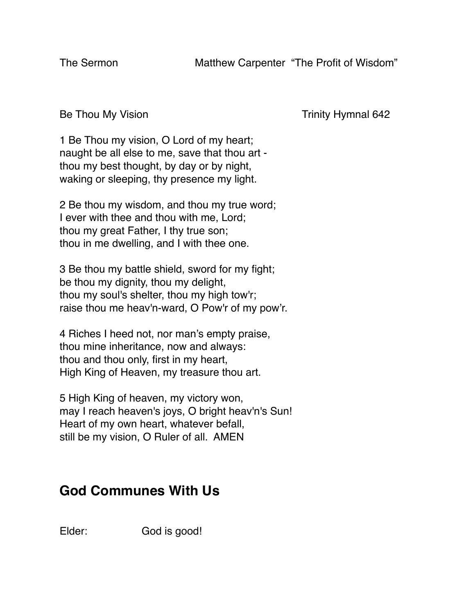Be Thou My Vision **Example 2** and Trinity Hymnal 642

1 Be Thou my vision, O Lord of my heart; naught be all else to me, save that thou art thou my best thought, by day or by night, waking or sleeping, thy presence my light.

2 Be thou my wisdom, and thou my true word; I ever with thee and thou with me, Lord; thou my great Father, I thy true son; thou in me dwelling, and I with thee one.

3 Be thou my battle shield, sword for my fight; be thou my dignity, thou my delight, thou my soul's shelter, thou my high tow'r; raise thou me heav'n-ward, O Pow'r of my pow'r.

4 Riches I heed not, nor man's empty praise, thou mine inheritance, now and always: thou and thou only, first in my heart, High King of Heaven, my treasure thou art.

5 High King of heaven, my victory won, may I reach heaven's joys, O bright heav'n's Sun! Heart of my own heart, whatever befall, still be my vision, O Ruler of all. AMEN

# **God Communes With Us**

Elder: God is good!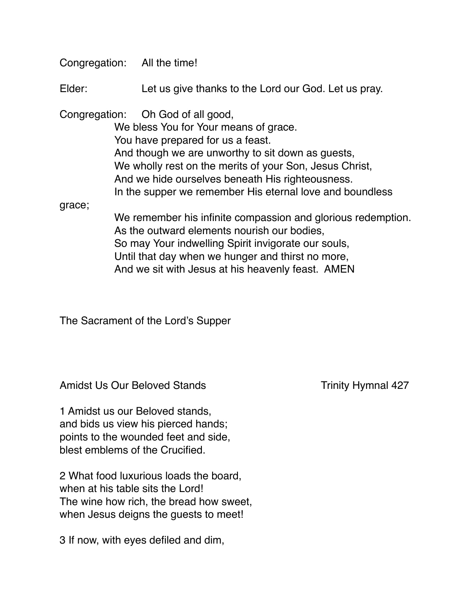|        | Congregation: All the time!                                                                                                                                                                                                                                                         |
|--------|-------------------------------------------------------------------------------------------------------------------------------------------------------------------------------------------------------------------------------------------------------------------------------------|
| Elder: | Let us give thanks to the Lord our God. Let us pray.                                                                                                                                                                                                                                |
|        | Congregation: Oh God of all good,<br>We bless You for Your means of grace.<br>You have prepared for us a feast.<br>And though we are unworthy to sit down as guests,<br>We wholly rest on the merits of your Son, Jesus Christ,<br>And we hide ourselves beneath His righteousness. |
| grace; | In the supper we remember His eternal love and boundless<br>We remember his infinite compassion and glorious redemption.                                                                                                                                                            |
|        | As the outward elements nourish our bodies,<br>So may Your indwelling Spirit invigorate our souls,<br>Until that day when we hunger and thirst no more,                                                                                                                             |

And we sit with Jesus at his heavenly feast. AMEN

The Sacrament of the Lord's Supper

Amidst Us Our Beloved Stands Trinity Hymnal 427

1 Amidst us our Beloved stands, and bids us view his pierced hands; points to the wounded feet and side, blest emblems of the Crucified.

2 What food luxurious loads the board, when at his table sits the Lord! The wine how rich, the bread how sweet, when Jesus deigns the guests to meet!

3 If now, with eyes defiled and dim,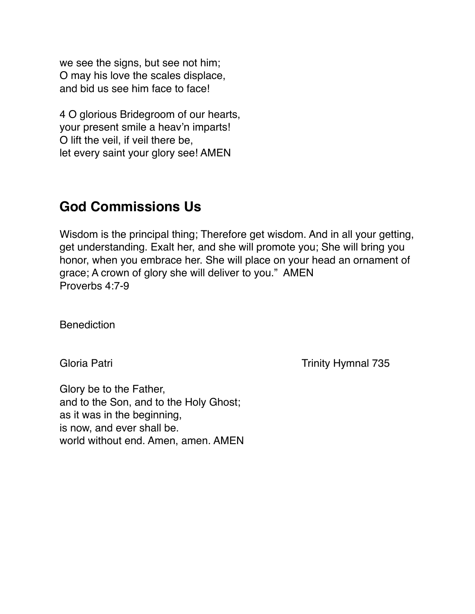we see the signs, but see not him; O may his love the scales displace, and bid us see him face to face!

4 O glorious Bridegroom of our hearts, your present smile a heav'n imparts! O lift the veil, if veil there be, let every saint your glory see! AMEN

#### **God Commissions Us**

Wisdom is the principal thing; Therefore get wisdom. And in all your getting, get understanding. Exalt her, and she will promote you; She will bring you honor, when you embrace her. She will place on your head an ornament of grace; A crown of glory she will deliver to you." AMEN Proverbs 4:7-9

**Benediction** 

Gloria Patri **Trinity Hymnal 735** 

Glory be to the Father, and to the Son, and to the Holy Ghost; as it was in the beginning, is now, and ever shall be. world without end. Amen, amen. AMEN